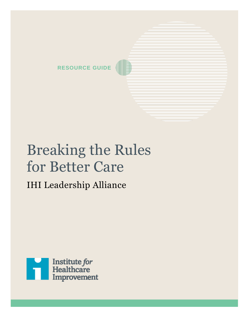

# Breaking the Rules for Better Care

# IHI Leadership Alliance

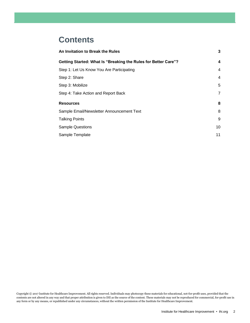# **Contents**

| 3              |
|----------------|
| 4              |
| 4              |
| $\overline{4}$ |
| 5              |
| 7              |
| 8              |
| 8              |
| 9              |
| 10             |
| 11             |
|                |

Copyright © 2017 Institute for Healthcare Improvement. All rights reserved. Individuals may photocopy these materials for educational, not-for-profit uses, provided that the contents are not altered in any way and that proper attribution is given to IHI as the source of the content. These materials may not be reproduced for commercial, for-profit use in any form or by any means, or republished under any circumstances, without the written permission of the Institute for Healthcare Improvement.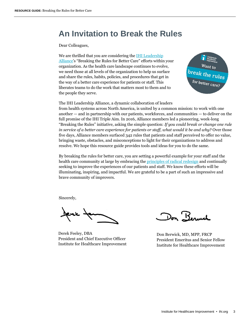# **An Invitation to Break the Rules**

Dear Colleagues,

We are thrilled that you are considering the IHI Leadership [Alliance](http://www.ihi.org/Engage/collaboratives/LeadershipAlliance/Pages/default.aspx?utm_campaign=Leadership%20Alliance&utm_medium=shortened%20leadership%20URL&utm_source=direct)'s "Breaking the Rules for Better Care" efforts within your organization. As the health care landscape continues to evolve, we need those at all levels of the organization to help us surface and share the rules, habits, policies, and procedures that get in the way of a better care experience for patients or staff. This liberates teams to do the work that matters most to them and to the people they serve.



The IHI Leadership Alliance, a dynamic collaboration of leaders from health systems across North America, is united by a common mission: to work with one another — and in partnership with our patients, workforces, and communities — to deliver on the full promise of the IHI Triple Aim. In 2016, Alliance members led a pioneering, week-long "Breaking the Rules" initiative, asking the simple question: *If you could break or change one rule in service of a better care experience for patients or staff, what would it be and why?* Over those five days, Alliance members surfaced 342 rules that patients and staff perceived to offer no value, bringing waste, obstacles, and misconceptions to light for their organizations to address and resolve. We hope this resource guide provides tools and ideas for you to do the same.

By breaking the rules for better care, you are setting a powerful example for your staff and the health care community at large by embracing the *principles of radical redesign* and continually seeking to improve the experiences of our patients and staff. We know these efforts will be illuminating, inspiring, and impactful. We are grateful to be a part of such an impressive and brave community of improvers.

Sincerely,

Jene for

Derek Feeley, DBA President and Chief Executive Officer Institute for Healthcare Improvement

Don Berweh

Don Berwick, MD, MPP, FRCP President Emeritus and Senior Fellow Institute for Healthcare Improvement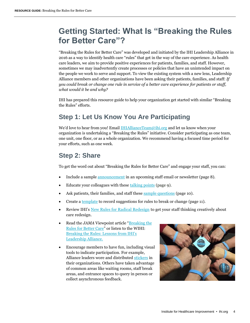# **Getting Started: What Is "Breaking the Rules for Better Care"?**

"Breaking the Rules for Better Care" was developed and initiated by the IHI Leadership Alliance in 2016 as a way to identify health care "rules" that get in the way of the care experience. As health care leaders, we aim to provide positive experiences for patients, families, and staff. However, sometimes we may inadvertently create processes or policies that have an unintended impact on the people we work to serve and support. To view the existing system with a new lens, Leadership Alliance members and other organizations have been asking their patients, families, and staff: *If you could break or change one rule in service of a better care experience for patients or staff, what would it be and why?*

IHI has prepared this resource guide to help your organization get started with similar "Breaking the Rules" efforts.

# **Step 1: Let Us Know You Are Participating**

We'd love to hear from you! Email [IHIAllianceTeam@ihi.org](mailto:IHIAllianceTeam@ihi.org) and let us know when your organization is undertaking a "Breaking the Rules" initiative. Consider participating as one team, one unit, one floor, or as a whole organization. We recommend having a focused time period for your efforts, such as one week.

### **Step 2: Share**

To get the word out about "Breaking the Rules for Better Care" and engage your staff, you can:

- Include a sample [announcement](#page-7-0) in an upcoming staff email or newsletter (page 8).
- Educate your colleagues with these [talking points](#page-8-0) (page 9).
- Ask patients, their families, and staff thes[e sample questions](#page-9-0) (page 10).
- Create a [template](#page-10-0) to record suggestions for rules to break or change (page 11).
- Review IHI's [New Rules for Radical Redesign](http://www.ihi.org/Engage/collaboratives/LeadershipAlliance/Documents/IHILeadershipAlliance_NewRulesRadicalRedesign.pdf) to get your staff thinking creatively about care redesign.
- Read the *JAMA* Viewpoint article "**Breaking the** [Rules for Better Care](http://jamanetwork.com/journals/jama/fullarticle/2624332)" or listen to the WIHI: [Breaking the Rules: Lessons from IHI's](http://www.ihi.org/resources/Pages/AudioandVideo/WIHI-Breaking-The-Rules-Lessons-From-IHIs-Leadership-Alliance.aspx)  [Leadership Alliance.](http://www.ihi.org/resources/Pages/AudioandVideo/WIHI-Breaking-The-Rules-Lessons-From-IHIs-Leadership-Alliance.aspx)
- Encourage members to have fun, including visual tools to indicate participation. For example, Alliance leaders wore and distribute[d stickers](http://app.ihi.org/marketing/program_documents/Alliance/IHI_Leadership_Alliance_Breaking_The_Rules.jpg) in their organizations. Others have taken advantage of common areas like waiting rooms, staff break areas, and entrance spaces to query in person or collect asynchronous feedback.

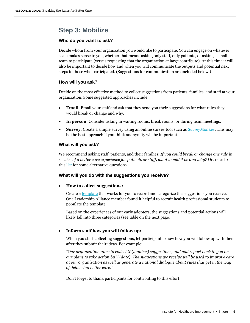### **Step 3: Mobilize**

#### **Who do you want to ask?**

Decide whom from your organization you would like to participate. You can engage on whatever scale makes sense to you, whether that means asking only staff, only patients, or asking a small team to participate (versus requesting that the organization at large contribute). At this time it will also be important to decide how and when you will communicate the outputs and potential next steps to those who participated. (Suggestions for communication are included below.)

#### **How will you ask?**

Decide on the most effective method to collect suggestions from patients, families, and staff at your organization. Some suggested approaches include:

- **Email**: Email your staff and ask that they send you their suggestions for what rules they would break or change and why.
- **In person**: Consider asking in waiting rooms, break rooms, or during team meetings.
- **Survey**: Create a simple survey using an online survey tool such as **SurveyMonkey**. This may be the best approach if you think anonymity will be important.

#### **What will you ask?**

We recommend asking staff, patients, and their families: *If you could break or change one rule in service of a better care experience for patients or staff, what would it be and why?* Or, refer to this [list](#page-9-0) for some alternative questions.

#### **What will you do with the suggestions you receive?**

#### **How to collect suggestions:**

Create [a template](#page-10-0) that works for you to record and categorize the suggestions you receive. One Leadership Alliance member found it helpful to recruit health professional students to populate the template.

Based on the experiences of our early adopters, the suggestions and potential actions will likely fall into three categories (see table on the next page).

#### **Inform staff how you will follow up:**

When you start collecting suggestions, let participants know how you will follow up with them after they submit their ideas. For example:

*"Our organization aims to collect X (number) suggestions, and will report back to you on our plans to take action by Y (date). The suggestions we receive will be used to improve care at our organization as well as generate a national dialogue about rules that get in the way of delivering better care."*

Don't forget to thank participants for contributing to this effort!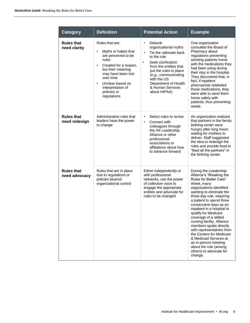| <b>Category</b>                    | <b>Definition</b>                                                                                                                                                                                                                                                      | <b>Potential Action</b>                                                                                                                                                                                                                                                                     | <b>Example</b>                                                                                                                                                                                                                                                                                                                                                                                                                                                                                                                                        |
|------------------------------------|------------------------------------------------------------------------------------------------------------------------------------------------------------------------------------------------------------------------------------------------------------------------|---------------------------------------------------------------------------------------------------------------------------------------------------------------------------------------------------------------------------------------------------------------------------------------------|-------------------------------------------------------------------------------------------------------------------------------------------------------------------------------------------------------------------------------------------------------------------------------------------------------------------------------------------------------------------------------------------------------------------------------------------------------------------------------------------------------------------------------------------------------|
| <b>Rules that</b><br>need clarity  | Rules that are:<br>Myths or habits that<br>$\bullet$<br>are perceived to be<br>rules<br>Created for a reason,<br>$\bullet$<br>but their meaning<br>may have been lost<br>over time<br>Unclear based on<br>$\bullet$<br>interpretation of<br>policies or<br>regulations | Debunk<br>$\bullet$<br>organizational myths<br>Tie the rationale back<br>$\bullet$<br>to the rule<br>Seek clarification<br>$\bullet$<br>from the entities that<br>put the rules in place<br>(e.g., communicating<br>with the US<br>Department of Health<br>& Human Services<br>about HIPAA) | One organization<br>consulted the Board of<br>Pharmacy about<br>regulations preventing<br>sending patients home<br>with the medications they<br>had been using during<br>their stay in the hospital.<br>They discovered that, in<br>fact, if inpatient<br>pharmacists relabeled<br>those medications, they<br>were able to send them<br>home safely with<br>patients, thus preventing<br>waste.                                                                                                                                                       |
| <b>Rules that</b><br>need redesign | Administrative rules that<br>leaders have the power<br>to change                                                                                                                                                                                                       | Select rules to revise<br>$\bullet$<br>$\bullet$<br>Connect with<br>colleagues through<br>the IHI Leadership<br>Alliance or other<br>professional<br>associations or<br>affiliations about how<br>to advance forward                                                                        | An organization realized<br>that partners in the family<br>birthing center were<br>hungry after long hours<br>waiting for mothers to<br>deliver. Staff suggested<br>the idea to redesign the<br>rules and provide food to<br>"feed all the partners" in<br>the birthing center.                                                                                                                                                                                                                                                                       |
| <b>Rules that</b><br>need advocacy | Rules that are in place<br>due to regulations or<br>policies beyond<br>organizational control                                                                                                                                                                          | Either independently or<br>with professional<br>networks, use the power<br>of collective voice to<br>engage the appropriate<br>entities and advocate for<br>rules to be changed                                                                                                             | During the Leadership<br>Alliance's "Breaking the<br>Rules for Better Care"<br>Week, many<br>organizations identified<br>wanting to eliminate the<br>three-day rule, requiring<br>a patient to spend three<br>consecutive days as an<br>inpatient in a hospital to<br>qualify for Medicare<br>coverage of a skilled<br>nursing facility. Alliance<br>members spoke directly<br>with representatives from<br>the Centers for Medicare<br>& Medicaid Services at<br>an in-person meeting<br>about the rule (among<br>others) to advocate for<br>change. |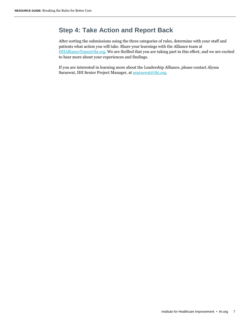## **Step 4: Take Action and Report Back**

After sorting the submissions using the three categories of rules, determine with your staff and patients what action you will take. Share your learnings with the Alliance team at [IHIAllianceTeam@ihi.org.](mailto:IHIAllianceTeam@ihi.org) We are thrilled that you are taking part in this effort, and we are excited to hear more about your experiences and findings.

If you are interested in learning more about the Leadership Alliance, please contact Alyssa Saraswat, IHI Senior Project Manager, a[t asaraswat@ihi.org.](mailto:asaraswat@ihi.org)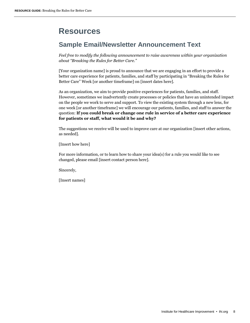# **Resources**

### <span id="page-7-0"></span>**Sample Email/Newsletter Announcement Text**

*Feel free to modify the following announcement to raise awareness within your organization about "Breaking the Rules for Better Care."* 

[Your organization name] is proud to announce that we are engaging in an effort to provide a better care experience for patients, families, and staff by participating in "Breaking the Rules for Better Care" Week [or another timeframe] on [insert dates here].

As an organization, we aim to provide positive experiences for patients, families, and staff. However, sometimes we inadvertently create processes or policies that have an unintended impact on the people we work to serve and support. To view the existing system through a new lens, for one week [or another timeframe] we will encourage our patients, families, and staff to answer the question: **If you could break or change one rule in service of a better care experience for patients or staff, what would it be and why?**

The suggestions we receive will be used to improve care at our organization [insert other actions, as needed].

[Insert how here]

For more information, or to learn how to share your idea(s) for a rule you would like to see changed, please email [insert contact person here].

Sincerely,

[Insert names]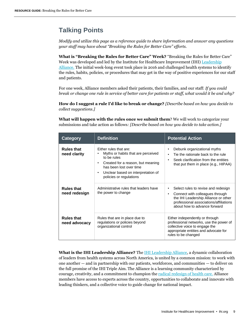# <span id="page-8-0"></span>**Talking Points**

*Modify and utilize this page as a reference guide to share information and answer any questions your staff may have about "Breaking the Rules for Better Care" efforts.*

**What is "Breaking the Rules for Better Care" Week?** "Breaking the Rules for Better Care" Week was developed and led by the Institute for Healthcare Improvement (IHI) Leadership [Alliance.](http://www.ihi.org/Engage/collaboratives/LeadershipAlliance/Pages/default.aspx) The initial week-long event took place in 2016 and challenged health systems to identify the rules, habits, policies, or procedures that may get in the way of positive experiences for our staff and patients.

For one week, Alliance members asked their patients, their families, and our staff: *If you could break or change one rule in service of better care for patients or staff, what would it be and why?*

**How do I suggest a rule I'd like to break or change?** *[Describe based on how you decide to collect suggestions.]* 

**What will happen with the rules once we submit them**? We will work to categorize your submissions and take action as follows*: [Describe based on how you decide to take action.]*

| <b>Category</b>                                                         | <b>Definition</b>                                                                                                                                                                                            | <b>Potential Action</b>                                                                                                                                                                                    |
|-------------------------------------------------------------------------|--------------------------------------------------------------------------------------------------------------------------------------------------------------------------------------------------------------|------------------------------------------------------------------------------------------------------------------------------------------------------------------------------------------------------------|
| <b>Rules that</b><br>need clarity<br><b>Rules that</b><br>need redesign | Either rules that are:<br>Myths or habits that are perceived<br>to be rules<br>Created for a reason, but meaning<br>has been lost over time<br>Unclear based on interpretation of<br>policies or regulations | Debunk organizational myths<br>٠<br>Tie the rationale back to the rule<br>$\bullet$<br>Seek clarification from the entities<br>$\bullet$<br>that put them in place (e.g., HIPAA)                           |
|                                                                         | Administrative rules that leaders have<br>the power to change                                                                                                                                                | Select rules to revise and redesign<br>٠<br>Connect with colleagues through<br>$\bullet$<br>the IHI Leadership Alliance or other<br>professional associations/affiliations<br>about how to advance forward |
| <b>Rules that</b><br>need advocacy                                      | Rules that are in place due to<br>regulations or policies beyond<br>organizational control                                                                                                                   | Either independently or through<br>professional networks, use the power of<br>collective voice to engage the<br>appropriate entities and advocate for<br>rules to be changed                               |

**What is the IHI Leadership Alliance?** The [IHI Leadership Alliance,](http://www.ihi.org/Engage/collaboratives/LeadershipAlliance/Pages/default.aspx?utm_campaign=Leadership%20Alliance&utm_medium=shortened%20leadership%20URL&utm_source=direct) a dynamic collaboration of leaders from health systems across North America, is united by a common mission: to work with one another — and in partnership with our patients, workforces, and communities — to deliver on the full promise of the IHI Triple Aim. The Alliance is a learning community characterized by courage, creativity, and a commitment to champion th[e radical redesign of health care.](http://www.ihi.org/resources/Pages/Publications/10NewRulesAccelerateHealthcareRedesign.aspx) Alliance members have access to experts across the country, opportunities to collaborate and innovate with leading thinkers, and a collective voice to guide change for national impact.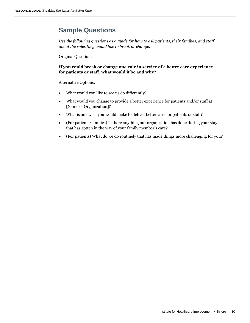## <span id="page-9-0"></span>**Sample Questions**

*Use the following questions as a guide for how to ask patients, their families, and staff about the rules they would like to break or change.* 

Original Question:

#### **If you could break or change one rule in service of a better care experience for patients or staff, what would it be and why?**

Alternative Options:

- What would you like to see us do differently?
- What would you change to provide a better experience for patients and/or staff at [Name of Organization]?
- What is one wish you would make to deliver better care for patients or staff?
- (For patients/families) Is there anything our organization has done during your stay that has gotten in the way of your family member's care?
- (For patients) What do we do routinely that has made things more challenging for you?